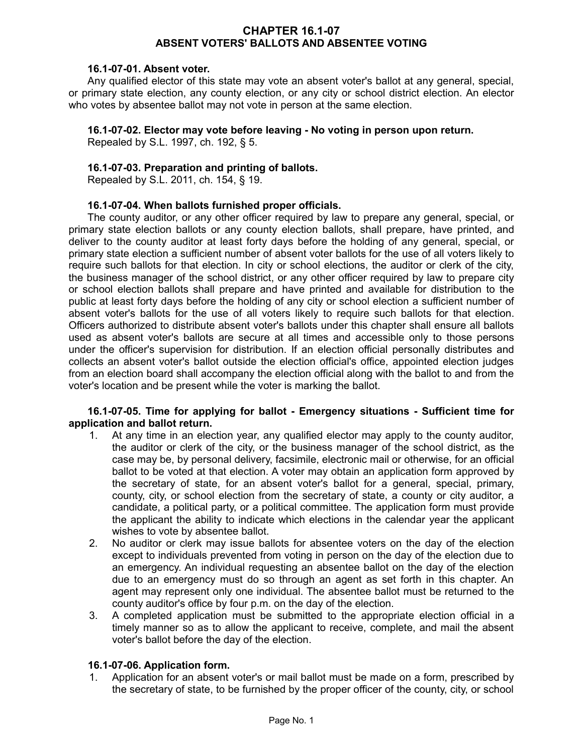### **CHAPTER 16.1-07 ABSENT VOTERS' BALLOTS AND ABSENTEE VOTING**

### **16.1-07-01. Absent voter.**

Any qualified elector of this state may vote an absent voter's ballot at any general, special, or primary state election, any county election, or any city or school district election. An elector who votes by absentee ballot may not vote in person at the same election.

## **16.1-07-02. Elector may vote before leaving - No voting in person upon return.**

Repealed by S.L. 1997, ch. 192, § 5.

## **16.1-07-03. Preparation and printing of ballots.**

Repealed by S.L. 2011, ch. 154, § 19.

#### **16.1-07-04. When ballots furnished proper officials.**

The county auditor, or any other officer required by law to prepare any general, special, or primary state election ballots or any county election ballots, shall prepare, have printed, and deliver to the county auditor at least forty days before the holding of any general, special, or primary state election a sufficient number of absent voter ballots for the use of all voters likely to require such ballots for that election. In city or school elections, the auditor or clerk of the city, the business manager of the school district, or any other officer required by law to prepare city or school election ballots shall prepare and have printed and available for distribution to the public at least forty days before the holding of any city or school election a sufficient number of absent voter's ballots for the use of all voters likely to require such ballots for that election. Officers authorized to distribute absent voter's ballots under this chapter shall ensure all ballots used as absent voter's ballots are secure at all times and accessible only to those persons under the officer's supervision for distribution. If an election official personally distributes and collects an absent voter's ballot outside the election official's office, appointed election judges from an election board shall accompany the election official along with the ballot to and from the voter's location and be present while the voter is marking the ballot.

## **16.1-07-05. Time for applying for ballot - Emergency situations - Sufficient time for application and ballot return.**

- 1. At any time in an election year, any qualified elector may apply to the county auditor, the auditor or clerk of the city, or the business manager of the school district, as the case may be, by personal delivery, facsimile, electronic mail or otherwise, for an official ballot to be voted at that election. A voter may obtain an application form approved by the secretary of state, for an absent voter's ballot for a general, special, primary, county, city, or school election from the secretary of state, a county or city auditor, a candidate, a political party, or a political committee. The application form must provide the applicant the ability to indicate which elections in the calendar year the applicant wishes to vote by absentee ballot.
- 2. No auditor or clerk may issue ballots for absentee voters on the day of the election except to individuals prevented from voting in person on the day of the election due to an emergency. An individual requesting an absentee ballot on the day of the election due to an emergency must do so through an agent as set forth in this chapter. An agent may represent only one individual. The absentee ballot must be returned to the county auditor's office by four p.m. on the day of the election.
- 3. A completed application must be submitted to the appropriate election official in a timely manner so as to allow the applicant to receive, complete, and mail the absent voter's ballot before the day of the election.

# **16.1-07-06. Application form.**

1. Application for an absent voter's or mail ballot must be made on a form, prescribed by the secretary of state, to be furnished by the proper officer of the county, city, or school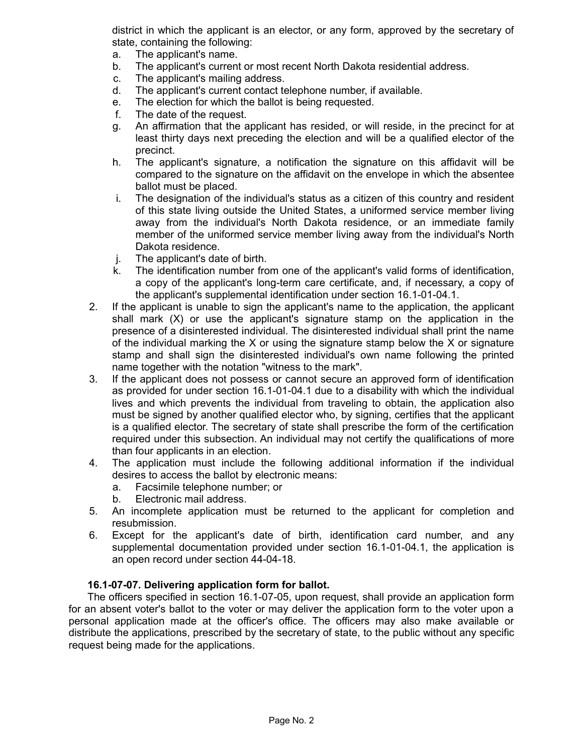district in which the applicant is an elector, or any form, approved by the secretary of state, containing the following:

- a. The applicant's name.
- b. The applicant's current or most recent North Dakota residential address.
- c. The applicant's mailing address.
- d. The applicant's current contact telephone number, if available.
- e. The election for which the ballot is being requested.
- f. The date of the request.
- g. An affirmation that the applicant has resided, or will reside, in the precinct for at least thirty days next preceding the election and will be a qualified elector of the precinct.
- h. The applicant's signature, a notification the signature on this affidavit will be compared to the signature on the affidavit on the envelope in which the absentee ballot must be placed.
- i. The designation of the individual's status as a citizen of this country and resident of this state living outside the United States, a uniformed service member living away from the individual's North Dakota residence, or an immediate family member of the uniformed service member living away from the individual's North Dakota residence.
- j. The applicant's date of birth.
- k. The identification number from one of the applicant's valid forms of identification, a copy of the applicant's long-term care certificate, and, if necessary, a copy of the applicant's supplemental identification under section 16.1-01-04.1.
- 2. If the applicant is unable to sign the applicant's name to the application, the applicant shall mark (X) or use the applicant's signature stamp on the application in the presence of a disinterested individual. The disinterested individual shall print the name of the individual marking the X or using the signature stamp below the X or signature stamp and shall sign the disinterested individual's own name following the printed name together with the notation "witness to the mark".
- 3. If the applicant does not possess or cannot secure an approved form of identification as provided for under section 16.1-01-04.1 due to a disability with which the individual lives and which prevents the individual from traveling to obtain, the application also must be signed by another qualified elector who, by signing, certifies that the applicant is a qualified elector. The secretary of state shall prescribe the form of the certification required under this subsection. An individual may not certify the qualifications of more than four applicants in an election.
- 4. The application must include the following additional information if the individual desires to access the ballot by electronic means:
	- a. Facsimile telephone number; or
	- b. Electronic mail address.
- 5. An incomplete application must be returned to the applicant for completion and resubmission.
- 6. Except for the applicant's date of birth, identification card number, and any supplemental documentation provided under section 16.1-01-04.1, the application is an open record under section 44-04-18.

# **16.1-07-07. Delivering application form for ballot.**

The officers specified in section 16.1-07-05, upon request, shall provide an application form for an absent voter's ballot to the voter or may deliver the application form to the voter upon a personal application made at the officer's office. The officers may also make available or distribute the applications, prescribed by the secretary of state, to the public without any specific request being made for the applications.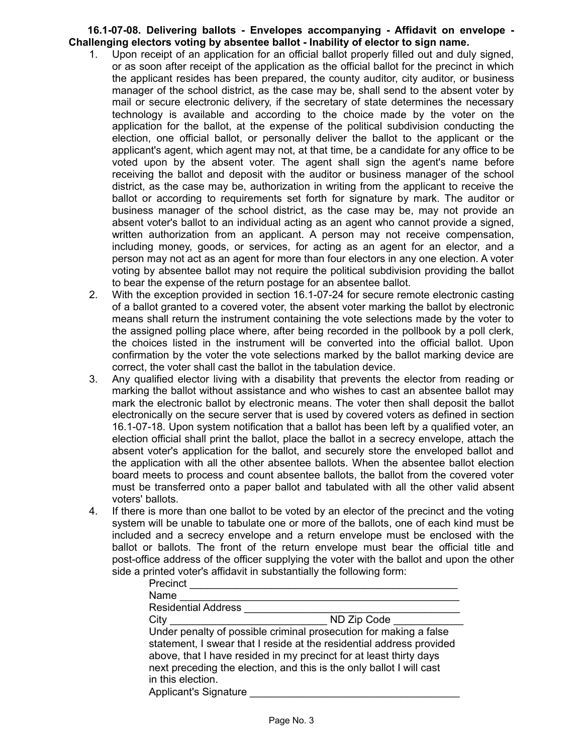## **16.1-07-08. Delivering ballots - Envelopes accompanying - Affidavit on envelope - Challenging electors voting by absentee ballot - Inability of elector to sign name.**

- 1. Upon receipt of an application for an official ballot properly filled out and duly signed, or as soon after receipt of the application as the official ballot for the precinct in which the applicant resides has been prepared, the county auditor, city auditor, or business manager of the school district, as the case may be, shall send to the absent voter by mail or secure electronic delivery, if the secretary of state determines the necessary technology is available and according to the choice made by the voter on the application for the ballot, at the expense of the political subdivision conducting the election, one official ballot, or personally deliver the ballot to the applicant or the applicant's agent, which agent may not, at that time, be a candidate for any office to be voted upon by the absent voter. The agent shall sign the agent's name before receiving the ballot and deposit with the auditor or business manager of the school district, as the case may be, authorization in writing from the applicant to receive the ballot or according to requirements set forth for signature by mark. The auditor or business manager of the school district, as the case may be, may not provide an absent voter's ballot to an individual acting as an agent who cannot provide a signed, written authorization from an applicant. A person may not receive compensation, including money, goods, or services, for acting as an agent for an elector, and a person may not act as an agent for more than four electors in any one election. A voter voting by absentee ballot may not require the political subdivision providing the ballot to bear the expense of the return postage for an absentee ballot.
- 2. With the exception provided in section 16.1-07-24 for secure remote electronic casting of a ballot granted to a covered voter, the absent voter marking the ballot by electronic means shall return the instrument containing the vote selections made by the voter to the assigned polling place where, after being recorded in the pollbook by a poll clerk, the choices listed in the instrument will be converted into the official ballot. Upon confirmation by the voter the vote selections marked by the ballot marking device are correct, the voter shall cast the ballot in the tabulation device.
- 3. Any qualified elector living with a disability that prevents the elector from reading or marking the ballot without assistance and who wishes to cast an absentee ballot may mark the electronic ballot by electronic means. The voter then shall deposit the ballot electronically on the secure server that is used by covered voters as defined in section 16.1-07-18. Upon system notification that a ballot has been left by a qualified voter, an election official shall print the ballot, place the ballot in a secrecy envelope, attach the absent voter's application for the ballot, and securely store the enveloped ballot and the application with all the other absentee ballots. When the absentee ballot election board meets to process and count absentee ballots, the ballot from the covered voter must be transferred onto a paper ballot and tabulated with all the other valid absent voters' ballots.
- 4. If there is more than one ballot to be voted by an elector of the precinct and the voting system will be unable to tabulate one or more of the ballots, one of each kind must be included and a secrecy envelope and a return envelope must be enclosed with the ballot or ballots. The front of the return envelope must bear the official title and post-office address of the officer supplying the voter with the ballot and upon the other side a printed voter's affidavit in substantially the following form:

| Precinct                                          |                                                                                                                                                                                                                                                                                         |
|---------------------------------------------------|-----------------------------------------------------------------------------------------------------------------------------------------------------------------------------------------------------------------------------------------------------------------------------------------|
| Name                                              |                                                                                                                                                                                                                                                                                         |
| <b>Residential Address</b>                        |                                                                                                                                                                                                                                                                                         |
| City                                              | ND Zip Code                                                                                                                                                                                                                                                                             |
| in this election.<br><b>Applicant's Signature</b> | Under penalty of possible criminal prosecution for making a false<br>statement, I swear that I reside at the residential address provided<br>above, that I have resided in my precinct for at least thirty days<br>next preceding the election, and this is the only ballot I will cast |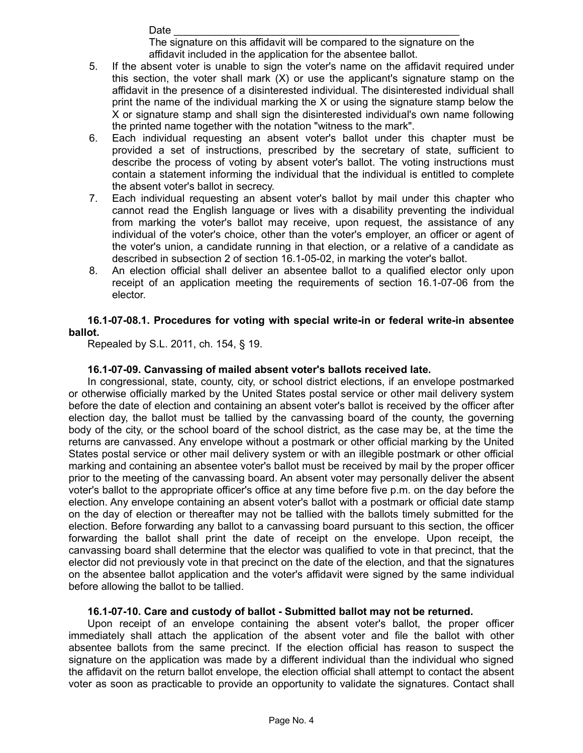Date \_\_\_\_\_\_\_\_\_\_\_\_\_\_\_\_\_\_\_\_\_\_\_\_\_\_\_\_\_\_\_\_\_\_\_\_\_\_\_\_\_\_\_\_\_\_\_\_\_ The signature on this affidavit will be compared to the signature on the affidavit included in the application for the absentee ballot.

- 5. If the absent voter is unable to sign the voter's name on the affidavit required under this section, the voter shall mark (X) or use the applicant's signature stamp on the affidavit in the presence of a disinterested individual. The disinterested individual shall print the name of the individual marking the X or using the signature stamp below the X or signature stamp and shall sign the disinterested individual's own name following the printed name together with the notation "witness to the mark".
- 6. Each individual requesting an absent voter's ballot under this chapter must be provided a set of instructions, prescribed by the secretary of state, sufficient to describe the process of voting by absent voter's ballot. The voting instructions must contain a statement informing the individual that the individual is entitled to complete the absent voter's ballot in secrecy.
- 7. Each individual requesting an absent voter's ballot by mail under this chapter who cannot read the English language or lives with a disability preventing the individual from marking the voter's ballot may receive, upon request, the assistance of any individual of the voter's choice, other than the voter's employer, an officer or agent of the voter's union, a candidate running in that election, or a relative of a candidate as described in subsection 2 of section 16.1-05-02, in marking the voter's ballot.
- 8. An election official shall deliver an absentee ballot to a qualified elector only upon receipt of an application meeting the requirements of section 16.1-07-06 from the elector.

# **16.1-07-08.1. Procedures for voting with special write-in or federal write-in absentee ballot.**

Repealed by S.L. 2011, ch. 154, § 19.

# **16.1-07-09. Canvassing of mailed absent voter's ballots received late.**

In congressional, state, county, city, or school district elections, if an envelope postmarked or otherwise officially marked by the United States postal service or other mail delivery system before the date of election and containing an absent voter's ballot is received by the officer after election day, the ballot must be tallied by the canvassing board of the county, the governing body of the city, or the school board of the school district, as the case may be, at the time the returns are canvassed. Any envelope without a postmark or other official marking by the United States postal service or other mail delivery system or with an illegible postmark or other official marking and containing an absentee voter's ballot must be received by mail by the proper officer prior to the meeting of the canvassing board. An absent voter may personally deliver the absent voter's ballot to the appropriate officer's office at any time before five p.m. on the day before the election. Any envelope containing an absent voter's ballot with a postmark or official date stamp on the day of election or thereafter may not be tallied with the ballots timely submitted for the election. Before forwarding any ballot to a canvassing board pursuant to this section, the officer forwarding the ballot shall print the date of receipt on the envelope. Upon receipt, the canvassing board shall determine that the elector was qualified to vote in that precinct, that the elector did not previously vote in that precinct on the date of the election, and that the signatures on the absentee ballot application and the voter's affidavit were signed by the same individual before allowing the ballot to be tallied.

# **16.1-07-10. Care and custody of ballot - Submitted ballot may not be returned.**

Upon receipt of an envelope containing the absent voter's ballot, the proper officer immediately shall attach the application of the absent voter and file the ballot with other absentee ballots from the same precinct. If the election official has reason to suspect the signature on the application was made by a different individual than the individual who signed the affidavit on the return ballot envelope, the election official shall attempt to contact the absent voter as soon as practicable to provide an opportunity to validate the signatures. Contact shall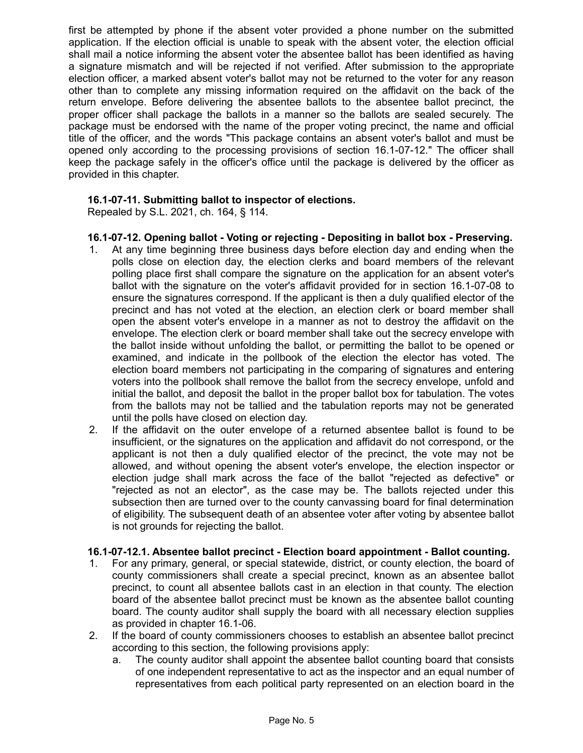first be attempted by phone if the absent voter provided a phone number on the submitted application. If the election official is unable to speak with the absent voter, the election official shall mail a notice informing the absent voter the absentee ballot has been identified as having a signature mismatch and will be rejected if not verified. After submission to the appropriate election officer, a marked absent voter's ballot may not be returned to the voter for any reason other than to complete any missing information required on the affidavit on the back of the return envelope. Before delivering the absentee ballots to the absentee ballot precinct, the proper officer shall package the ballots in a manner so the ballots are sealed securely. The package must be endorsed with the name of the proper voting precinct, the name and official title of the officer, and the words "This package contains an absent voter's ballot and must be opened only according to the processing provisions of section 16.1-07-12." The officer shall keep the package safely in the officer's office until the package is delivered by the officer as provided in this chapter.

# **16.1-07-11. Submitting ballot to inspector of elections.**

Repealed by S.L. 2021, ch. 164, § 114.

- **16.1-07-12. Opening ballot Voting or rejecting Depositing in ballot box Preserving.**
- 1. At any time beginning three business days before election day and ending when the polls close on election day, the election clerks and board members of the relevant polling place first shall compare the signature on the application for an absent voter's ballot with the signature on the voter's affidavit provided for in section 16.1-07-08 to ensure the signatures correspond. If the applicant is then a duly qualified elector of the precinct and has not voted at the election, an election clerk or board member shall open the absent voter's envelope in a manner as not to destroy the affidavit on the envelope. The election clerk or board member shall take out the secrecy envelope with the ballot inside without unfolding the ballot, or permitting the ballot to be opened or examined, and indicate in the pollbook of the election the elector has voted. The election board members not participating in the comparing of signatures and entering voters into the pollbook shall remove the ballot from the secrecy envelope, unfold and initial the ballot, and deposit the ballot in the proper ballot box for tabulation. The votes from the ballots may not be tallied and the tabulation reports may not be generated until the polls have closed on election day.
- 2. If the affidavit on the outer envelope of a returned absentee ballot is found to be insufficient, or the signatures on the application and affidavit do not correspond, or the applicant is not then a duly qualified elector of the precinct, the vote may not be allowed, and without opening the absent voter's envelope, the election inspector or election judge shall mark across the face of the ballot "rejected as defective" or "rejected as not an elector", as the case may be. The ballots rejected under this subsection then are turned over to the county canvassing board for final determination of eligibility. The subsequent death of an absentee voter after voting by absentee ballot is not grounds for rejecting the ballot.

# **16.1-07-12.1. Absentee ballot precinct - Election board appointment - Ballot counting.**

- 1. For any primary, general, or special statewide, district, or county election, the board of county commissioners shall create a special precinct, known as an absentee ballot precinct, to count all absentee ballots cast in an election in that county. The election board of the absentee ballot precinct must be known as the absentee ballot counting board. The county auditor shall supply the board with all necessary election supplies as provided in chapter 16.1-06.
- 2. If the board of county commissioners chooses to establish an absentee ballot precinct according to this section, the following provisions apply:
	- a. The county auditor shall appoint the absentee ballot counting board that consists of one independent representative to act as the inspector and an equal number of representatives from each political party represented on an election board in the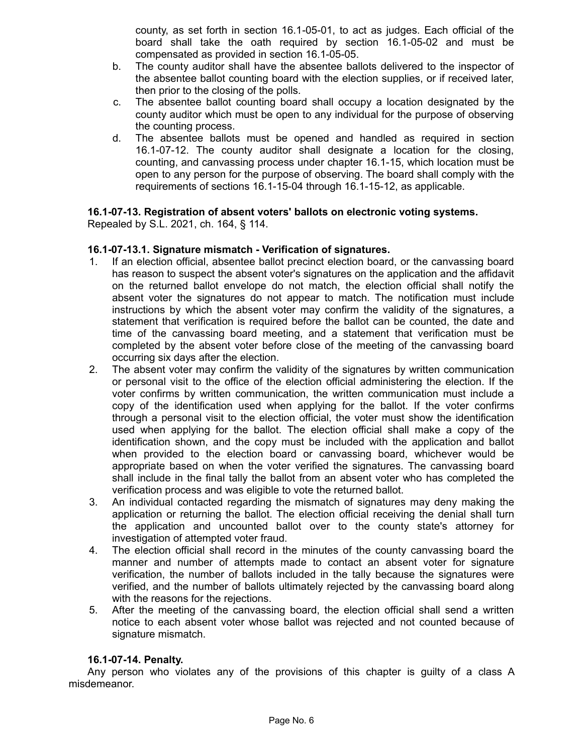county, as set forth in section 16.1-05-01, to act as judges. Each official of the board shall take the oath required by section 16.1-05-02 and must be compensated as provided in section 16.1-05-05.

- b. The county auditor shall have the absentee ballots delivered to the inspector of the absentee ballot counting board with the election supplies, or if received later, then prior to the closing of the polls.
- c. The absentee ballot counting board shall occupy a location designated by the county auditor which must be open to any individual for the purpose of observing the counting process.
- d. The absentee ballots must be opened and handled as required in section 16.1-07-12. The county auditor shall designate a location for the closing, counting, and canvassing process under chapter 16.1-15, which location must be open to any person for the purpose of observing. The board shall comply with the requirements of sections 16.1-15-04 through 16.1-15-12, as applicable.

# **16.1-07-13. Registration of absent voters' ballots on electronic voting systems.**

Repealed by S.L. 2021, ch. 164, § 114.

# **16.1-07-13.1. Signature mismatch - Verification of signatures.**

- 1. If an election official, absentee ballot precinct election board, or the canvassing board has reason to suspect the absent voter's signatures on the application and the affidavit on the returned ballot envelope do not match, the election official shall notify the absent voter the signatures do not appear to match. The notification must include instructions by which the absent voter may confirm the validity of the signatures, a statement that verification is required before the ballot can be counted, the date and time of the canvassing board meeting, and a statement that verification must be completed by the absent voter before close of the meeting of the canvassing board occurring six days after the election.
- 2. The absent voter may confirm the validity of the signatures by written communication or personal visit to the office of the election official administering the election. If the voter confirms by written communication, the written communication must include a copy of the identification used when applying for the ballot. If the voter confirms through a personal visit to the election official, the voter must show the identification used when applying for the ballot. The election official shall make a copy of the identification shown, and the copy must be included with the application and ballot when provided to the election board or canvassing board, whichever would be appropriate based on when the voter verified the signatures. The canvassing board shall include in the final tally the ballot from an absent voter who has completed the verification process and was eligible to vote the returned ballot.
- 3. An individual contacted regarding the mismatch of signatures may deny making the application or returning the ballot. The election official receiving the denial shall turn the application and uncounted ballot over to the county state's attorney for investigation of attempted voter fraud.
- 4. The election official shall record in the minutes of the county canvassing board the manner and number of attempts made to contact an absent voter for signature verification, the number of ballots included in the tally because the signatures were verified, and the number of ballots ultimately rejected by the canvassing board along with the reasons for the rejections.
- 5. After the meeting of the canvassing board, the election official shall send a written notice to each absent voter whose ballot was rejected and not counted because of signature mismatch.

# **16.1-07-14. Penalty.**

Any person who violates any of the provisions of this chapter is guilty of a class A misdemeanor.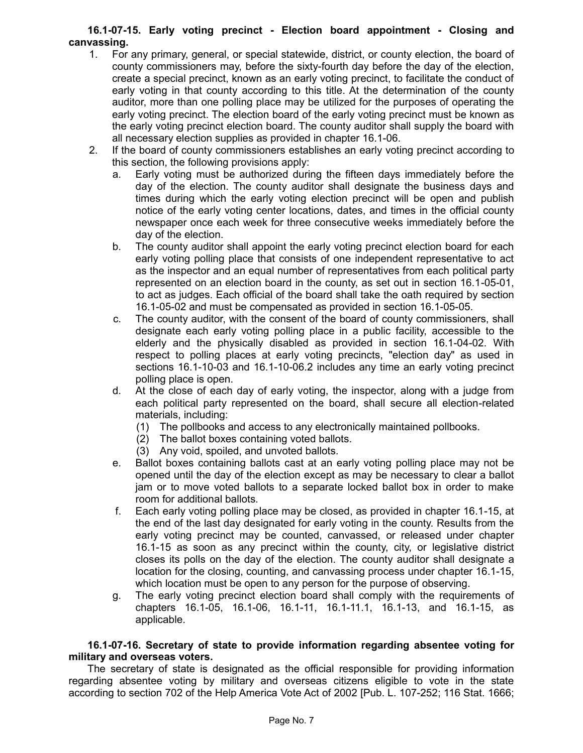# **16.1-07-15. Early voting precinct - Election board appointment - Closing and canvassing.**

- 1. For any primary, general, or special statewide, district, or county election, the board of county commissioners may, before the sixty-fourth day before the day of the election, create a special precinct, known as an early voting precinct, to facilitate the conduct of early voting in that county according to this title. At the determination of the county auditor, more than one polling place may be utilized for the purposes of operating the early voting precinct. The election board of the early voting precinct must be known as the early voting precinct election board. The county auditor shall supply the board with all necessary election supplies as provided in chapter 16.1-06.
- 2. If the board of county commissioners establishes an early voting precinct according to this section, the following provisions apply:
	- a. Early voting must be authorized during the fifteen days immediately before the day of the election. The county auditor shall designate the business days and times during which the early voting election precinct will be open and publish notice of the early voting center locations, dates, and times in the official county newspaper once each week for three consecutive weeks immediately before the day of the election.
	- b. The county auditor shall appoint the early voting precinct election board for each early voting polling place that consists of one independent representative to act as the inspector and an equal number of representatives from each political party represented on an election board in the county, as set out in section 16.1-05-01, to act as judges. Each official of the board shall take the oath required by section 16.1-05-02 and must be compensated as provided in section 16.1-05-05.
	- c. The county auditor, with the consent of the board of county commissioners, shall designate each early voting polling place in a public facility, accessible to the elderly and the physically disabled as provided in section 16.1-04-02. With respect to polling places at early voting precincts, "election day" as used in sections 16.1-10-03 and 16.1-10-06.2 includes any time an early voting precinct polling place is open.
	- d. At the close of each day of early voting, the inspector, along with a judge from each political party represented on the board, shall secure all election-related materials, including:
		- (1) The pollbooks and access to any electronically maintained pollbooks.
		- (2) The ballot boxes containing voted ballots.
		- (3) Any void, spoiled, and unvoted ballots.
	- e. Ballot boxes containing ballots cast at an early voting polling place may not be opened until the day of the election except as may be necessary to clear a ballot jam or to move voted ballots to a separate locked ballot box in order to make room for additional ballots.
	- f. Each early voting polling place may be closed, as provided in chapter 16.1-15, at the end of the last day designated for early voting in the county. Results from the early voting precinct may be counted, canvassed, or released under chapter 16.1-15 as soon as any precinct within the county, city, or legislative district closes its polls on the day of the election. The county auditor shall designate a location for the closing, counting, and canvassing process under chapter 16.1-15, which location must be open to any person for the purpose of observing.
	- g. The early voting precinct election board shall comply with the requirements of chapters 16.1-05, 16.1-06, 16.1-11, 16.1-11.1, 16.1-13, and 16.1-15, as applicable.

## **16.1-07-16. Secretary of state to provide information regarding absentee voting for military and overseas voters.**

The secretary of state is designated as the official responsible for providing information regarding absentee voting by military and overseas citizens eligible to vote in the state according to section 702 of the Help America Vote Act of 2002 [Pub. L. 107-252; 116 Stat. 1666;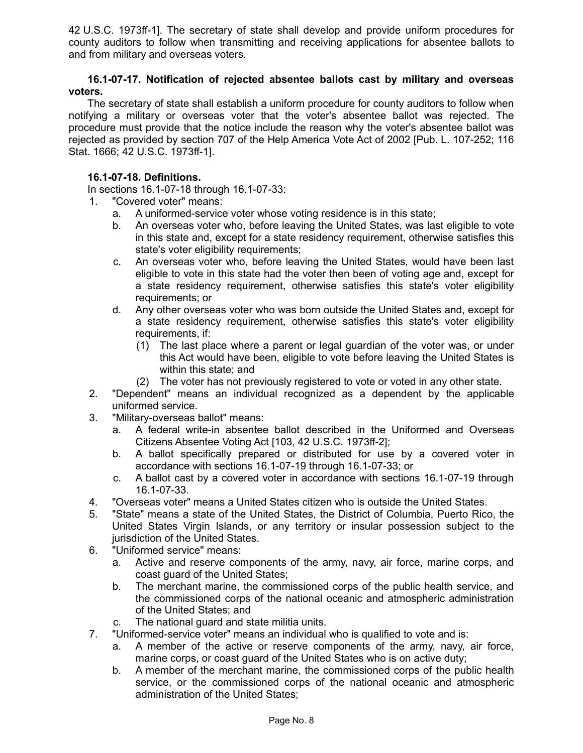42 U.S.C. 1973ff-1]. The secretary of state shall develop and provide uniform procedures for county auditors to follow when transmitting and receiving applications for absentee ballots to and from military and overseas voters.

## **16.1-07-17. Notification of rejected absentee ballots cast by military and overseas voters.**

The secretary of state shall establish a uniform procedure for county auditors to follow when notifying a military or overseas voter that the voter's absentee ballot was rejected. The procedure must provide that the notice include the reason why the voter's absentee ballot was rejected as provided by section 707 of the Help America Vote Act of 2002 [Pub. L. 107-252; 116 Stat. 1666; 42 U.S.C. 1973ff-1].

# **16.1-07-18. Definitions.**

In sections 16.1-07-18 through 16.1-07-33:

- 1. "Covered voter" means:
	- a. A uniformed-service voter whose voting residence is in this state;
	- b. An overseas voter who, before leaving the United States, was last eligible to vote in this state and, except for a state residency requirement, otherwise satisfies this state's voter eligibility requirements;
	- c. An overseas voter who, before leaving the United States, would have been last eligible to vote in this state had the voter then been of voting age and, except for a state residency requirement, otherwise satisfies this state's voter eligibility requirements; or
	- d. Any other overseas voter who was born outside the United States and, except for a state residency requirement, otherwise satisfies this state's voter eligibility requirements, if:
		- (1) The last place where a parent or legal guardian of the voter was, or under this Act would have been, eligible to vote before leaving the United States is within this state; and
		- (2) The voter has not previously registered to vote or voted in any other state.
- 2. "Dependent" means an individual recognized as a dependent by the applicable uniformed service.
- 3. "Military-overseas ballot" means:
	- a. A federal write-in absentee ballot described in the Uniformed and Overseas Citizens Absentee Voting Act [103, 42 U.S.C. 1973ff-2];
	- b. A ballot specifically prepared or distributed for use by a covered voter in accordance with sections 16.1-07-19 through 16.1-07-33; or
	- c. A ballot cast by a covered voter in accordance with sections 16.1-07-19 through 16.1-07-33.
- 4. "Overseas voter" means a United States citizen who is outside the United States.
- 5. "State" means a state of the United States, the District of Columbia, Puerto Rico, the United States Virgin Islands, or any territory or insular possession subject to the jurisdiction of the United States.
- 6. "Uniformed service" means:
	- a. Active and reserve components of the army, navy, air force, marine corps, and coast guard of the United States;
	- b. The merchant marine, the commissioned corps of the public health service, and the commissioned corps of the national oceanic and atmospheric administration of the United States; and
	- c. The national guard and state militia units.
- 7. "Uniformed-service voter" means an individual who is qualified to vote and is:
	- a. A member of the active or reserve components of the army, navy, air force, marine corps, or coast guard of the United States who is on active duty;
	- b. A member of the merchant marine, the commissioned corps of the public health service, or the commissioned corps of the national oceanic and atmospheric administration of the United States;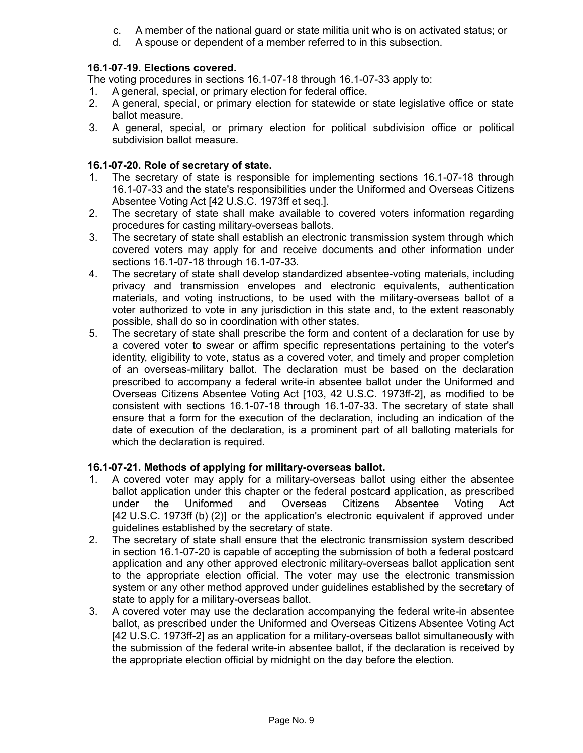- c. A member of the national guard or state militia unit who is on activated status; or
- d. A spouse or dependent of a member referred to in this subsection.

# **16.1-07-19. Elections covered.**

The voting procedures in sections 16.1-07-18 through 16.1-07-33 apply to:

- 1. A general, special, or primary election for federal office.
- 2. A general, special, or primary election for statewide or state legislative office or state ballot measure.
- 3. A general, special, or primary election for political subdivision office or political subdivision ballot measure.

# **16.1-07-20. Role of secretary of state.**

- 1. The secretary of state is responsible for implementing sections 16.1-07-18 through 16.1-07-33 and the state's responsibilities under the Uniformed and Overseas Citizens Absentee Voting Act [42 U.S.C. 1973ff et seq.].
- 2. The secretary of state shall make available to covered voters information regarding procedures for casting military-overseas ballots.
- 3. The secretary of state shall establish an electronic transmission system through which covered voters may apply for and receive documents and other information under sections 16.1-07-18 through 16.1-07-33.
- 4. The secretary of state shall develop standardized absentee-voting materials, including privacy and transmission envelopes and electronic equivalents, authentication materials, and voting instructions, to be used with the military-overseas ballot of a voter authorized to vote in any jurisdiction in this state and, to the extent reasonably possible, shall do so in coordination with other states.
- 5. The secretary of state shall prescribe the form and content of a declaration for use by a covered voter to swear or affirm specific representations pertaining to the voter's identity, eligibility to vote, status as a covered voter, and timely and proper completion of an overseas-military ballot. The declaration must be based on the declaration prescribed to accompany a federal write-in absentee ballot under the Uniformed and Overseas Citizens Absentee Voting Act [103, 42 U.S.C. 1973ff-2], as modified to be consistent with sections 16.1-07-18 through 16.1-07-33. The secretary of state shall ensure that a form for the execution of the declaration, including an indication of the date of execution of the declaration, is a prominent part of all balloting materials for which the declaration is required.

# **16.1-07-21. Methods of applying for military-overseas ballot.**

- 1. A covered voter may apply for a military-overseas ballot using either the absentee ballot application under this chapter or the federal postcard application, as prescribed under the Uniformed and Overseas Citizens Absentee Voting Act [42 U.S.C. 1973ff (b) (2)] or the application's electronic equivalent if approved under guidelines established by the secretary of state.
- 2. The secretary of state shall ensure that the electronic transmission system described in section 16.1-07-20 is capable of accepting the submission of both a federal postcard application and any other approved electronic military-overseas ballot application sent to the appropriate election official. The voter may use the electronic transmission system or any other method approved under guidelines established by the secretary of state to apply for a military-overseas ballot.
- 3. A covered voter may use the declaration accompanying the federal write-in absentee ballot, as prescribed under the Uniformed and Overseas Citizens Absentee Voting Act [42 U.S.C. 1973ff-2] as an application for a military-overseas ballot simultaneously with the submission of the federal write-in absentee ballot, if the declaration is received by the appropriate election official by midnight on the day before the election.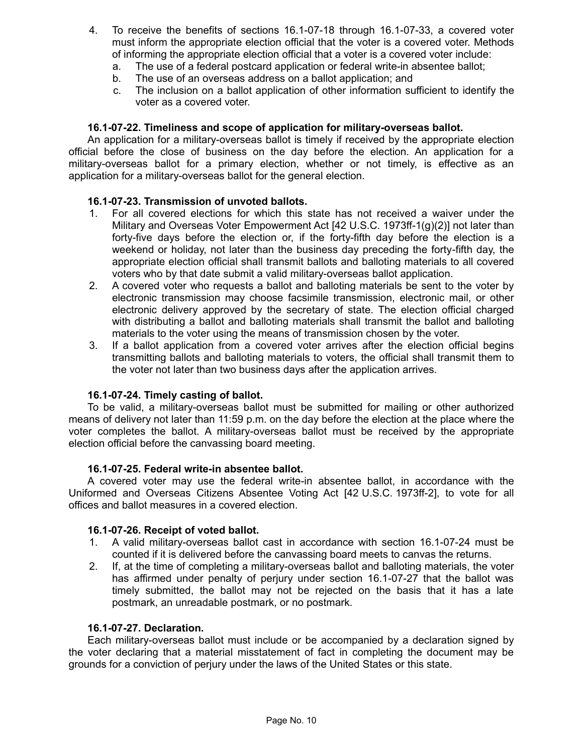- 4. To receive the benefits of sections 16.1-07-18 through 16.1-07-33, a covered voter must inform the appropriate election official that the voter is a covered voter. Methods of informing the appropriate election official that a voter is a covered voter include:
	- a. The use of a federal postcard application or federal write-in absentee ballot;
	- b. The use of an overseas address on a ballot application; and
	- c. The inclusion on a ballot application of other information sufficient to identify the voter as a covered voter.

## **16.1-07-22. Timeliness and scope of application for military-overseas ballot.**

An application for a military-overseas ballot is timely if received by the appropriate election official before the close of business on the day before the election. An application for a military-overseas ballot for a primary election, whether or not timely, is effective as an application for a military-overseas ballot for the general election.

# **16.1-07-23. Transmission of unvoted ballots.**

- 1. For all covered elections for which this state has not received a waiver under the Military and Overseas Voter Empowerment Act [42 U.S.C. 1973ff-1(g)(2)] not later than forty-five days before the election or, if the forty-fifth day before the election is a weekend or holiday, not later than the business day preceding the forty-fifth day, the appropriate election official shall transmit ballots and balloting materials to all covered voters who by that date submit a valid military-overseas ballot application.
- 2. A covered voter who requests a ballot and balloting materials be sent to the voter by electronic transmission may choose facsimile transmission, electronic mail, or other electronic delivery approved by the secretary of state. The election official charged with distributing a ballot and balloting materials shall transmit the ballot and balloting materials to the voter using the means of transmission chosen by the voter.
- 3. If a ballot application from a covered voter arrives after the election official begins transmitting ballots and balloting materials to voters, the official shall transmit them to the voter not later than two business days after the application arrives.

#### **16.1-07-24. Timely casting of ballot.**

To be valid, a military-overseas ballot must be submitted for mailing or other authorized means of delivery not later than 11:59 p.m. on the day before the election at the place where the voter completes the ballot. A military-overseas ballot must be received by the appropriate election official before the canvassing board meeting.

#### **16.1-07-25. Federal write-in absentee ballot.**

A covered voter may use the federal write-in absentee ballot, in accordance with the Uniformed and Overseas Citizens Absentee Voting Act [42 U.S.C. 1973ff-2], to vote for all offices and ballot measures in a covered election.

#### **16.1-07-26. Receipt of voted ballot.**

- 1. A valid military-overseas ballot cast in accordance with section 16.1-07-24 must be counted if it is delivered before the canvassing board meets to canvas the returns.
- 2. If, at the time of completing a military-overseas ballot and balloting materials, the voter has affirmed under penalty of perjury under section 16.1-07-27 that the ballot was timely submitted, the ballot may not be rejected on the basis that it has a late postmark, an unreadable postmark, or no postmark.

## **16.1-07-27. Declaration.**

Each military-overseas ballot must include or be accompanied by a declaration signed by the voter declaring that a material misstatement of fact in completing the document may be grounds for a conviction of perjury under the laws of the United States or this state.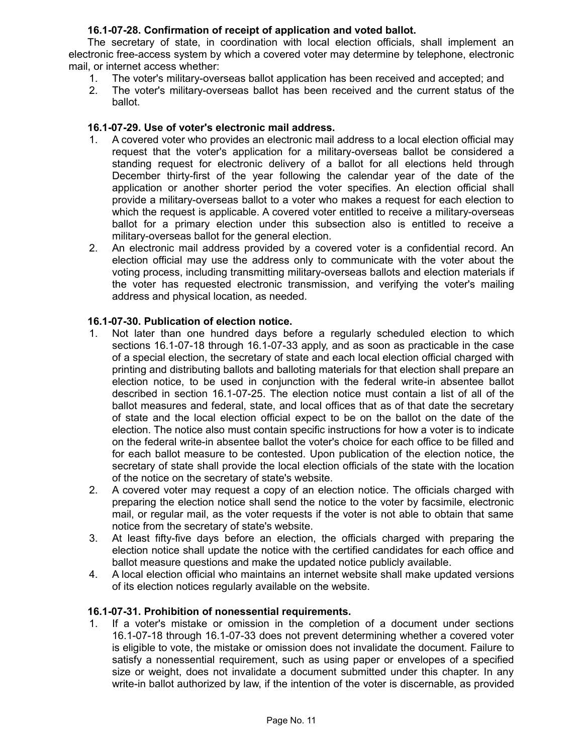# **16.1-07-28. Confirmation of receipt of application and voted ballot.**

The secretary of state, in coordination with local election officials, shall implement an electronic free-access system by which a covered voter may determine by telephone, electronic mail, or internet access whether:

- 1. The voter's military-overseas ballot application has been received and accepted; and
- 2. The voter's military-overseas ballot has been received and the current status of the ballot.

## **16.1-07-29. Use of voter's electronic mail address.**

- 1. A covered voter who provides an electronic mail address to a local election official may request that the voter's application for a military-overseas ballot be considered a standing request for electronic delivery of a ballot for all elections held through December thirty-first of the year following the calendar year of the date of the application or another shorter period the voter specifies. An election official shall provide a military-overseas ballot to a voter who makes a request for each election to which the request is applicable. A covered voter entitled to receive a military-overseas ballot for a primary election under this subsection also is entitled to receive a military-overseas ballot for the general election.
- 2. An electronic mail address provided by a covered voter is a confidential record. An election official may use the address only to communicate with the voter about the voting process, including transmitting military-overseas ballots and election materials if the voter has requested electronic transmission, and verifying the voter's mailing address and physical location, as needed.

## **16.1-07-30. Publication of election notice.**

- 1. Not later than one hundred days before a regularly scheduled election to which sections 16.1-07-18 through 16.1-07-33 apply, and as soon as practicable in the case of a special election, the secretary of state and each local election official charged with printing and distributing ballots and balloting materials for that election shall prepare an election notice, to be used in conjunction with the federal write-in absentee ballot described in section 16.1-07-25. The election notice must contain a list of all of the ballot measures and federal, state, and local offices that as of that date the secretary of state and the local election official expect to be on the ballot on the date of the election. The notice also must contain specific instructions for how a voter is to indicate on the federal write-in absentee ballot the voter's choice for each office to be filled and for each ballot measure to be contested. Upon publication of the election notice, the secretary of state shall provide the local election officials of the state with the location of the notice on the secretary of state's website.
- 2. A covered voter may request a copy of an election notice. The officials charged with preparing the election notice shall send the notice to the voter by facsimile, electronic mail, or regular mail, as the voter requests if the voter is not able to obtain that same notice from the secretary of state's website.
- 3. At least fifty-five days before an election, the officials charged with preparing the election notice shall update the notice with the certified candidates for each office and ballot measure questions and make the updated notice publicly available.
- 4. A local election official who maintains an internet website shall make updated versions of its election notices regularly available on the website.

# **16.1-07-31. Prohibition of nonessential requirements.**

1. If a voter's mistake or omission in the completion of a document under sections 16.1-07-18 through 16.1-07-33 does not prevent determining whether a covered voter is eligible to vote, the mistake or omission does not invalidate the document. Failure to satisfy a nonessential requirement, such as using paper or envelopes of a specified size or weight, does not invalidate a document submitted under this chapter. In any write-in ballot authorized by law, if the intention of the voter is discernable, as provided